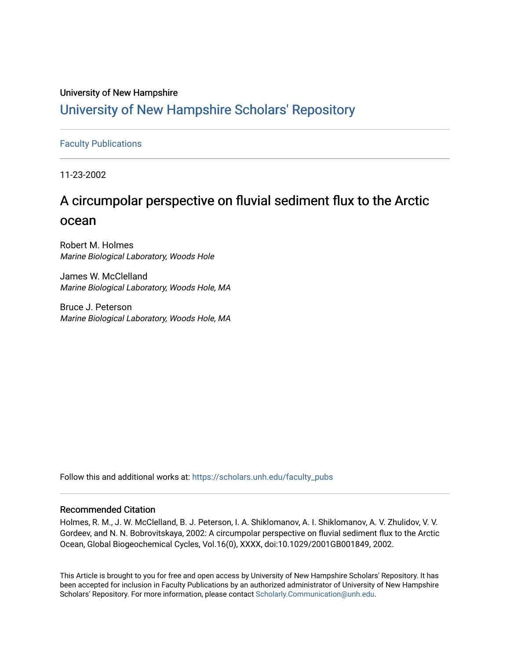## University of New Hampshire [University of New Hampshire Scholars' Repository](https://scholars.unh.edu/)

## [Faculty Publications](https://scholars.unh.edu/faculty_pubs)

11-23-2002

# A circumpolar perspective on fluvial sediment flux to the Arctic ocean

Robert M. Holmes Marine Biological Laboratory, Woods Hole

James W. McClelland Marine Biological Laboratory, Woods Hole, MA

Bruce J. Peterson Marine Biological Laboratory, Woods Hole, MA

Follow this and additional works at: [https://scholars.unh.edu/faculty\\_pubs](https://scholars.unh.edu/faculty_pubs?utm_source=scholars.unh.edu%2Ffaculty_pubs%2F328&utm_medium=PDF&utm_campaign=PDFCoverPages) 

### Recommended Citation

Holmes, R. M., J. W. McClelland, B. J. Peterson, I. A. Shiklomanov, A. I. Shiklomanov, A. V. Zhulidov, V. V. Gordeev, and N. N. Bobrovitskaya, 2002: A circumpolar perspective on fluvial sediment flux to the Arctic Ocean, Global Biogeochemical Cycles, Vol.16(0), XXXX, doi:10.1029/2001GB001849, 2002.

This Article is brought to you for free and open access by University of New Hampshire Scholars' Repository. It has been accepted for inclusion in Faculty Publications by an authorized administrator of University of New Hampshire Scholars' Repository. For more information, please contact [Scholarly.Communication@unh.edu.](mailto:Scholarly.Communication@unh.edu)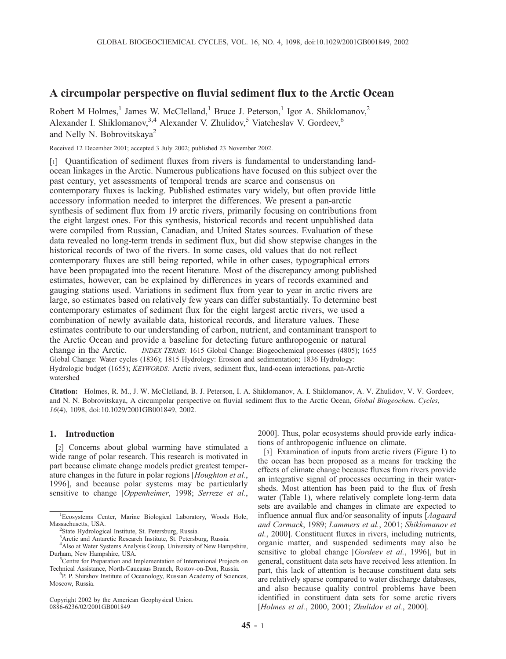## A circumpolar perspective on fluvial sediment flux to the Arctic Ocean

Robert M Holmes,<sup>1</sup> James W. McClelland,<sup>1</sup> Bruce J. Peterson,<sup>1</sup> Igor A. Shiklomanov,<sup>2</sup> Alexander I. Shiklomanov,<sup>3,4</sup> Alexander V. Zhulidov,<sup>5</sup> Viatcheslav V. Gordeev.<sup>6</sup> and Nelly N. Bobrovitskaya<sup>2</sup>

Received 12 December 2001; accepted 3 July 2002; published 23 November 2002.

[1] Quantification of sediment fluxes from rivers is fundamental to understanding landocean linkages in the Arctic. Numerous publications have focused on this subject over the past century, yet assessments of temporal trends are scarce and consensus on contemporary fluxes is lacking. Published estimates vary widely, but often provide little accessory information needed to interpret the differences. We present a pan-arctic synthesis of sediment flux from 19 arctic rivers, primarily focusing on contributions from the eight largest ones. For this synthesis, historical records and recent unpublished data were compiled from Russian, Canadian, and United States sources. Evaluation of these data revealed no long-term trends in sediment flux, but did show stepwise changes in the historical records of two of the rivers. In some cases, old values that do not reflect contemporary fluxes are still being reported, while in other cases, typographical errors have been propagated into the recent literature. Most of the discrepancy among published estimates, however, can be explained by differences in years of records examined and gauging stations used. Variations in sediment flux from year to year in arctic rivers are large, so estimates based on relatively few years can differ substantially. To determine best contemporary estimates of sediment flux for the eight largest arctic rivers, we used a combination of newly available data, historical records, and literature values. These estimates contribute to our understanding of carbon, nutrient, and contaminant transport to the Arctic Ocean and provide a baseline for detecting future anthropogenic or natural change in the Arctic. *INDEX TERMS:* 1615 Global Change: Biogeochemical processes (4805); 1655 Global Change: Water cycles (1836); 1815 Hydrology: Erosion and sedimentation; 1836 Hydrology: Hydrologic budget (1655); KEYWORDS: Arctic rivers, sediment flux, land-ocean interactions, pan-Arctic watershed

Citation: Holmes, R. M., J. W. McClelland, B. J. Peterson, I. A. Shiklomanov, A. I. Shiklomanov, A. V. Zhulidov, V. V. Gordeev, and N. N. Bobrovitskaya, A circumpolar perspective on fluvial sediment flux to the Arctic Ocean, Global Biogeochem. Cycles, 16(4), 1098, doi:10.1029/2001GB001849, 2002.

#### 1. Introduction

[2] Concerns about global warming have stimulated a wide range of polar research. This research is motivated in part because climate change models predict greatest temperature changes in the future in polar regions [Houghton et al., 1996], and because polar systems may be particularly sensitive to change [Oppenheimer, 1998; Serreze et al.,

Copyright 2002 by the American Geophysical Union. 0886-6236/02/2001GB001849

2000]. Thus, polar ecosystems should provide early indications of anthropogenic influence on climate.

[3] Examination of inputs from arctic rivers (Figure 1) to the ocean has been proposed as a means for tracking the effects of climate change because fluxes from rivers provide an integrative signal of processes occurring in their watersheds. Most attention has been paid to the flux of fresh water (Table 1), where relatively complete long-term data sets are available and changes in climate are expected to influence annual flux and/or seasonality of inputs [Aagaard and Carmack, 1989; Lammers et al., 2001; Shiklomanov et al., 2000]. Constituent fluxes in rivers, including nutrients, organic matter, and suspended sediments may also be sensitive to global change [Gordeev et al., 1996], but in general, constituent data sets have received less attention. In part, this lack of attention is because constituent data sets are relatively sparse compared to water discharge databases, and also because quality control problems have been identified in constituent data sets for some arctic rivers [Holmes et al., 2000, 2001; Zhulidov et al., 2000].

<sup>&</sup>lt;sup>1</sup>Ecosystems Center, Marine Biological Laboratory, Woods Hole, Massachusetts, USA. <sup>2</sup>

<sup>&</sup>lt;sup>2</sup>State Hydrological Institute, St. Petersburg, Russia.

<sup>3</sup> Arctic and Antarctic Research Institute, St. Petersburg, Russia.

<sup>4</sup> Also at Water Systems Analysis Group, University of New Hampshire, Durham, New Hampshire, USA.

<sup>&</sup>lt;sup>5</sup>Centre for Preparation and Implementation of International Projects on Technical Assistance, North-Caucasus Branch, Rostov-on-Don, Russia.

<sup>&</sup>lt;sup>6</sup>P. P. Shirshov Institute of Oceanology, Russian Academy of Sciences, Moscow, Russia.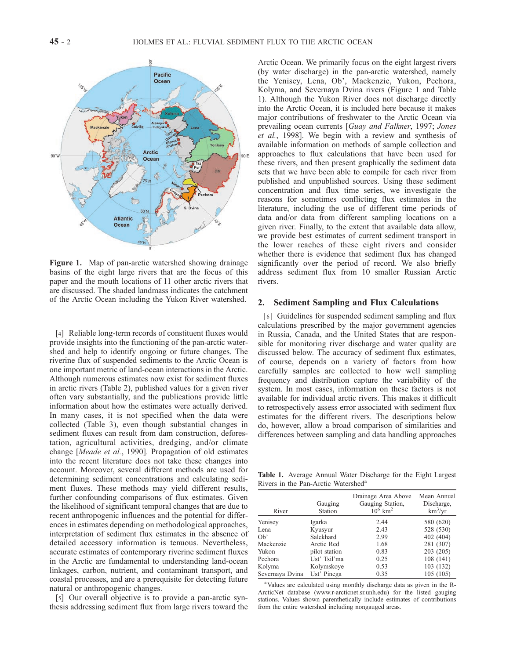

Figure 1. Map of pan-arctic watershed showing drainage basins of the eight large rivers that are the focus of this paper and the mouth locations of 11 other arctic rivers that are discussed. The shaded landmass indicates the catchment of the Arctic Ocean including the Yukon River watershed.

[4] Reliable long-term records of constituent fluxes would provide insights into the functioning of the pan-arctic watershed and help to identify ongoing or future changes. The riverine flux of suspended sediments to the Arctic Ocean is one important metric of land-ocean interactions in the Arctic. Although numerous estimates now exist for sediment fluxes in arctic rivers (Table 2), published values for a given river often vary substantially, and the publications provide little information about how the estimates were actually derived. In many cases, it is not specified when the data were collected (Table 3), even though substantial changes in sediment fluxes can result from dam construction, deforestation, agricultural activities, dredging, and/or climate change [Meade et al., 1990]. Propagation of old estimates into the recent literature does not take these changes into account. Moreover, several different methods are used for determining sediment concentrations and calculating sediment fluxes. These methods may yield different results, further confounding comparisons of flux estimates. Given the likelihood of significant temporal changes that are due to recent anthropogenic influences and the potential for differences in estimates depending on methodological approaches, interpretation of sediment flux estimates in the absence of detailed accessory information is tenuous. Nevertheless, accurate estimates of contemporary riverine sediment fluxes in the Arctic are fundamental to understanding land-ocean linkages, carbon, nutrient, and contaminant transport, and coastal processes, and are a prerequisite for detecting future natural or anthropogenic changes.

[5] Our overall objective is to provide a pan-arctic synthesis addressing sediment flux from large rivers toward the Arctic Ocean. We primarily focus on the eight largest rivers (by water discharge) in the pan-arctic watershed, namely the Yenisey, Lena, Ob', Mackenzie, Yukon, Pechora, Kolyma, and Severnaya Dvina rivers (Figure 1 and Table 1). Although the Yukon River does not discharge directly into the Arctic Ocean, it is included here because it makes major contributions of freshwater to the Arctic Ocean via prevailing ocean currents [Guay and Falkner, 1997; Jones et al., 1998]. We begin with a review and synthesis of available information on methods of sample collection and approaches to flux calculations that have been used for these rivers, and then present graphically the sediment data sets that we have been able to compile for each river from published and unpublished sources. Using these sediment concentration and flux time series, we investigate the reasons for sometimes conflicting flux estimates in the literature, including the use of different time periods of data and/or data from different sampling locations on a given river. Finally, to the extent that available data allow, we provide best estimates of current sediment transport in the lower reaches of these eight rivers and consider whether there is evidence that sediment flux has changed significantly over the period of record. We also briefly address sediment flux from 10 smaller Russian Arctic rivers.

#### 2. Sediment Sampling and Flux Calculations

[6] Guidelines for suspended sediment sampling and flux calculations prescribed by the major government agencies in Russia, Canada, and the United States that are responsible for monitoring river discharge and water quality are discussed below. The accuracy of sediment flux estimates, of course, depends on a variety of factors from how carefully samples are collected to how well sampling frequency and distribution capture the variability of the system. In most cases, information on these factors is not available for individual arctic rivers. This makes it difficult to retrospectively assess error associated with sediment flux estimates for the different rivers. The descriptions below do, however, allow a broad comparison of similarities and differences between sampling and data handling approaches

Table 1. Average Annual Water Discharge for the Eight Largest Rivers in the Pan-Arctic Watershed<sup>a</sup>

| River           | Gauging<br>Station | Drainage Area Above<br>Gauging Station,<br>$10^6$ km <sup>2</sup> | Mean Annual<br>Discharge,<br>$km^3/yr$ |
|-----------------|--------------------|-------------------------------------------------------------------|----------------------------------------|
| Yenisey         | Igarka             | 2.44                                                              | 580 (620)                              |
| Lena            | Kyusyur            | 2.43                                                              | 528 (530)                              |
| $Ob^{\prime}$   | Salekhard          | 2.99                                                              | 402 (404)                              |
| Mackenzie       | Arctic Red         | 1.68                                                              | 281 (307)                              |
| Yukon           | pilot station      | 0.83                                                              | 203 (205)                              |
| Pechora         | Ust' Tsil'ma       | 0.25                                                              | 108 (141)                              |
| Kolyma          | Kolymskove         | 0.53                                                              | 103 (132)                              |
| Severnaya Dvina | Ust' Pinega        | 0.35                                                              | 105 (105)                              |

<sup>a</sup> Values are calculated using monthly discharge data as given in the R-ArcticNet database (www.r-arcticnet.sr.unh.edu) for the listed gauging stations. Values shown parenthetically include estimates of contributions from the entire watershed including nongauged areas.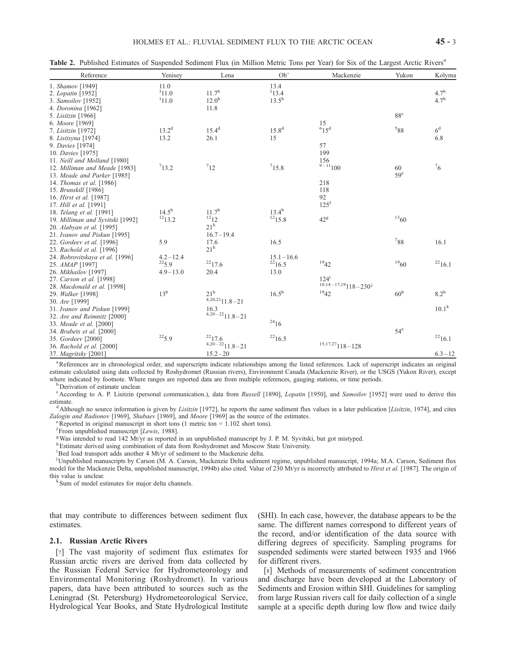|  |  | Table 2. Published Estimates of Suspended Sediment Flux (in Million Metric Tons per Year) for Six of the Largest Arctic Rivers <sup>a</sup> |
|--|--|---------------------------------------------------------------------------------------------------------------------------------------------|
|  |  |                                                                                                                                             |

| Reference                        | Yenisey        | Lena                | Ob'            | Mackenzie                              | Yukon           | Kolyma           |
|----------------------------------|----------------|---------------------|----------------|----------------------------------------|-----------------|------------------|
| 1. Shamov [1949]                 | 11.0           |                     | 13.4           |                                        |                 |                  |
| 2. Lopatin [1952]                | 111.0          | 11.7 <sup>b</sup>   | 113.4          |                                        |                 | $4.7^{b}$        |
| 3. Samoilov [1952]               | 111.0          | $12.0^{b}$          | $13.5^{b}$     |                                        |                 | 4.7 <sup>b</sup> |
| 4. Doronina [1962]               |                | 11.8                |                |                                        |                 |                  |
| 5. Lisitzin [1966]               |                |                     |                |                                        | $88^{\circ}$    |                  |
| 6. Moore [1969]                  |                |                     |                |                                        |                 |                  |
| 7. Lisitzin [1972]               | $13.2^{\rm d}$ | $15.4^{d}$          | $15.8^{\rm d}$ | $^{15}_{6}$ <sub>15</sub> <sup>d</sup> | $^588$          | 6 <sup>d</sup>   |
| 8. Lisitsyna [1974]              | 13.2           | 26.1                | 15             |                                        |                 | 6.8              |
| 9. Davies [1974]                 |                |                     |                | 57                                     |                 |                  |
| 10. Davies [1975]                |                |                     |                | 199                                    |                 |                  |
| 11. Neill and Molland [1980]     |                |                     |                | 156                                    |                 |                  |
| 12. Milliman and Meade [1983]    | 713.2          | $7_{12}$            | 715.8          | $9 - 11100$                            | 60              | $\frac{7}{6}$    |
| 13. Meade and Parker [1985]      |                |                     |                |                                        | 59 <sup>e</sup> |                  |
| 14. Thomas et al. [1986]         |                |                     |                | 218                                    |                 |                  |
| 15. Brunskill [1986]             |                |                     |                | 118                                    |                 |                  |
| 16. Hirst et al. [1987]          |                |                     |                | 92                                     |                 |                  |
| 17. <i>Hill et al.</i> [1991]    |                |                     |                | 125 <sup>f</sup>                       |                 |                  |
| 18. Telang et al. [1991]         | $14.5^{b}$     | $11.7^{b}$          | $13.4^{b}$     |                                        |                 |                  |
| 19. Milliman and Syvitski [1992] | 1213.2         | $^{12}12$           | $^{12}$ 15.8   | $42^g$                                 | 1360            |                  |
| 20. Alabyan et al. [1995]        |                | $21^h$              |                |                                        |                 |                  |
| 21. Ivanov and Piskun [1995]     |                | $16.7 - 19.4$       |                |                                        |                 |                  |
| 22. Gordeev et al. [1996]        | 5.9            | 17.6                | 16.5           |                                        | 788             | 16.1             |
| 23. Rachold et al. [1996]        |                | $21^{\rm h}$        |                |                                        |                 |                  |
| 24. Bobrovitskaya et al. [1996]  | $4.2 - 12.4$   |                     | $15.1 - 16.6$  |                                        |                 |                  |
| 25. AMAP [1997]                  | $^{22}5.9$     | $^{22}17.6$         | $^{22}16.5$    | 1942                                   | 1960            | 2216.1           |
| 26. Mikhailov [1997]             | $4.9 - 13.0$   | 20.4                | 13.0           |                                        |                 |                  |
| 27. Carson et al. [1998]         |                |                     |                | $124^{\rm i}$                          |                 |                  |
| 28. Macdonald et al. [1998]      |                |                     |                | $10,14-17,19$ $118-230$ <sup>j</sup>   |                 |                  |
| 29. Walker [1998]                | $13^{\rm b}$   | $21^{\rm b}$        | $16.5^{b}$     | 1942                                   | 60 <sup>b</sup> | $8.2^{\rm b}$    |
| 30. Are [1999]                   |                | $4,20,21$ 11.8 - 21 |                |                                        |                 |                  |
| 31. Ivanov and Piskun [1999]     |                | 16.3                |                |                                        |                 | $10.1^k$         |
| 32. Are and Reimnitz [2000]      |                | $4,20-22$ 11.8 - 21 |                |                                        |                 |                  |
| 33. Meade et al. [2000]          |                |                     | $^{24}16$      |                                        |                 |                  |
| 34. Brabets et al. [2000]        |                |                     |                |                                        | $54^e$          |                  |
| 35. Gordeev [2000]               | $^{22}5.9$     | $^{22}17.6$         | $^{22}16.5$    |                                        |                 | $^{22}16.1$      |
| 36. Rachold et al. [2000]        |                | $4,20-22$ 11.8 - 21 |                | $^{\rm 15,17,27}\rm 118\!-\!128$       |                 |                  |
| 37. Magritsky [2001]             |                | $15.2 - 20$         |                |                                        |                 | $6.3 - 12$       |

<sup>a</sup> References are in chronological order, and superscripts indicate relationships among the listed references. Lack of superscript indicates an original estimate calculated using data collected by Roshydromet (Russian rivers), Environment Canada (Mackenzie River), or the USGS (Yukon River), except where indicated by footnote. Where ranges are reported data are from multiple references, gauging stations, or time periods.

<sup>b</sup>Derivation of estimate unclear.

<sup>c</sup> According to A. P. Lisitzin (personal communication.), data from Russell [1890], Lopatin [1950], and Samoilov [1952] were used to derive this estimate.<br>dalthough no source information is given by *Lisitzin* [1972], he reports the same sediment flux values in a later publication [*Lisitzin*, 1974], and cites

Zalogin and Radionov [1969], Shubaev [1969], and Moore [1969] as the source of the estimates.

<sup>e</sup> Reported in original manuscript in short tons (1 metric ton =  $1.102$  short tons).

 $f_{\text{From unpublished manuscript}}$  [*Lewis*, 1988].

Was intended to read 142 Mt/yr as reported in an unpublished manuscript by J. P. M. Syvitski, but got mistyped.

h Estimate derived using combination of data from Roshydromet and Moscow State University.

<sup>i</sup>Bed load transport adds another 4 Mt/yr of sediment to the Mackenzie delta.

j Unpublished manuscripts by Carson (M. A. Carson, Mackenzie Delta sediment regime, unpublished manuscript, 1994a; M.A. Carson, Sediment flux model for the Mackenzie Delta, unpublished manuscript, 1994b) also cited. Value of 230 Mt/yr is incorrectly attributed to *Hirst et al.* [1987]. The origin of this value is unclear.

Sum of model estimates for major delta channels.

that may contribute to differences between sediment flux estimates.

#### 2.1. Russian Arctic Rivers

[7] The vast majority of sediment flux estimates for Russian arctic rivers are derived from data collected by the Russian Federal Service for Hydrometeorology and Environmental Monitoring (Roshydromet). In various papers, data have been attributed to sources such as the Leningrad (St. Petersburg) Hydrometeorological Service, Hydrological Year Books, and State Hydrological Institute (SHI). In each case, however, the database appears to be the same. The different names correspond to different years of the record, and/or identification of the data source with differing degrees of specificity. Sampling programs for suspended sediments were started between 1935 and 1966 for different rivers.

[8] Methods of measurements of sediment concentration and discharge have been developed at the Laboratory of Sediments and Erosion within SHI. Guidelines for sampling from large Russian rivers call for daily collection of a single sample at a specific depth during low flow and twice daily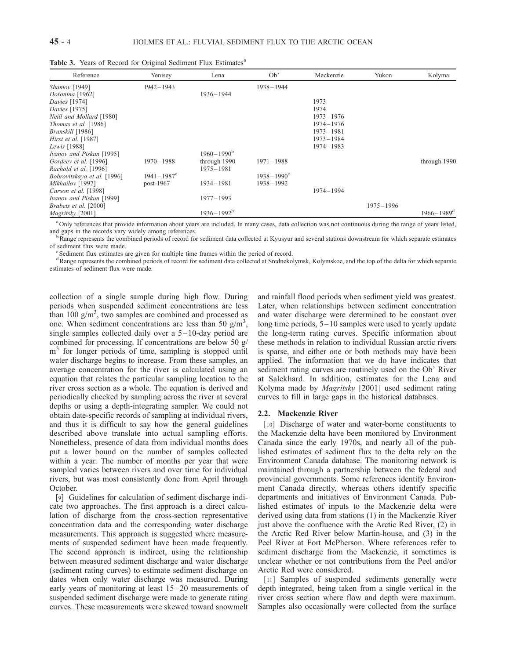| Reference                   | Yenisey                    | Lena                  | Ob'                   | Mackenzie     | Yukon         | Kolyma                     |
|-----------------------------|----------------------------|-----------------------|-----------------------|---------------|---------------|----------------------------|
| Shamov <sup>[1949]</sup>    | 1942-1943                  |                       | $1938 - 1944$         |               |               |                            |
| Doronina [1962]             |                            | $1936 - 1944$         |                       |               |               |                            |
| Davies [1974]               |                            |                       |                       | 1973          |               |                            |
| <i>Davies</i> [1975]        |                            |                       |                       | 1974          |               |                            |
| Neill and Mollard [1980]    |                            |                       |                       | $1973 - 1976$ |               |                            |
| Thomas et al. [1986]        |                            |                       |                       | $1974 - 1976$ |               |                            |
| Brunskill [1986]            |                            |                       |                       | $1973 - 1981$ |               |                            |
| Hirst et al. [1987]         |                            |                       |                       | $1973 - 1984$ |               |                            |
| Lewis [1988]                |                            |                       |                       | $1974 - 1983$ |               |                            |
| Ivanov and Piskun [1995]    |                            | $1960 - 1990^{\rm b}$ |                       |               |               |                            |
| Gordeev et al. [1996]       | $1970 - 1988$              | through 1990          | $1971 - 1988$         |               |               | through 1990               |
| Rachold et al. [1996]       |                            | $1975 - 1981$         |                       |               |               |                            |
| Bobrovitskaya et al. [1996] | $1941 - 1987$ <sup>c</sup> |                       | $1938 - 1990^{\circ}$ |               |               |                            |
| Mikhailov [1997]            | post-1967                  | 1934-1981             | $1938 - 1992$         |               |               |                            |
| Carson et al. [1998]        |                            |                       |                       | $1974 - 1994$ |               |                            |
| Ivanov and Piskun [1999]    |                            | $1977 - 1993$         |                       |               |               |                            |
| Brabets et al. [2000]       |                            |                       |                       |               | $1975 - 1996$ |                            |
| Magritsky [2001]            |                            | $1936 - 1992^b$       |                       |               |               | $1966 - 1989$ <sup>d</sup> |

Table 3. Years of Record for Original Sediment Flux Estimates<sup>a</sup>

<sup>a</sup> Only references that provide information about years are included. In many cases, data collection was not continuous during the range of years listed, and gaps in the records vary widely among references.<br><sup>b</sup>Range represents the combined periods of record for sediment data collected at Kyusyur and several stations downstream for which separate estimates

of sediment flux were made.

Sediment flux estimates are given for multiple time frames within the period of record.

<sup>d</sup> Range represents the combined periods of record for sediment data collected at Srednekolymsk, Kolymskoe, and the top of the delta for which separate estimates of sediment flux were made.

collection of a single sample during high flow. During periods when suspended sediment concentrations are less than 100  $g/m<sup>3</sup>$ , two samples are combined and processed as one. When sediment concentrations are less than 50  $g/m<sup>3</sup>$ , single samples collected daily over a  $5 - 10$ -day period are combined for processing. If concentrations are below 50 g/ m<sup>3</sup> for longer periods of time, sampling is stopped until water discharge begins to increase. From these samples, an average concentration for the river is calculated using an equation that relates the particular sampling location to the river cross section as a whole. The equation is derived and periodically checked by sampling across the river at several depths or using a depth-integrating sampler. We could not obtain date-specific records of sampling at individual rivers, and thus it is difficult to say how the general guidelines described above translate into actual sampling efforts. Nonetheless, presence of data from individual months does put a lower bound on the number of samples collected within a year. The number of months per year that were sampled varies between rivers and over time for individual rivers, but was most consistently done from April through October.

[9] Guidelines for calculation of sediment discharge indicate two approaches. The first approach is a direct calculation of discharge from the cross-section representative concentration data and the corresponding water discharge measurements. This approach is suggested where measurements of suspended sediment have been made frequently. The second approach is indirect, using the relationship between measured sediment discharge and water discharge (sediment rating curves) to estimate sediment discharge on dates when only water discharge was measured. During early years of monitoring at least  $15-20$  measurements of suspended sediment discharge were made to generate rating curves. These measurements were skewed toward snowmelt

and rainfall flood periods when sediment yield was greatest. Later, when relationships between sediment concentration and water discharge were determined to be constant over long time periods, 5-10 samples were used to yearly update the long-term rating curves. Specific information about these methods in relation to individual Russian arctic rivers is sparse, and either one or both methods may have been applied. The information that we do have indicates that sediment rating curves are routinely used on the Ob' River at Salekhard. In addition, estimates for the Lena and Kolyma made by *Magritsky* [2001] used sediment rating curves to fill in large gaps in the historical databases.

#### 2.2. Mackenzie River

[10] Discharge of water and water-borne constituents to the Mackenzie delta have been monitored by Environment Canada since the early 1970s, and nearly all of the published estimates of sediment flux to the delta rely on the Environment Canada database. The monitoring network is maintained through a partnership between the federal and provincial governments. Some references identify Environment Canada directly, whereas others identify specific departments and initiatives of Environment Canada. Published estimates of inputs to the Mackenzie delta were derived using data from stations (1) in the Mackenzie River just above the confluence with the Arctic Red River, (2) in the Arctic Red River below Martin-house, and (3) in the Peel River at Fort McPherson. Where references refer to sediment discharge from the Mackenzie, it sometimes is unclear whether or not contributions from the Peel and/or Arctic Red were considered.

[11] Samples of suspended sediments generally were depth integrated, being taken from a single vertical in the river cross section where flow and depth were maximum. Samples also occasionally were collected from the surface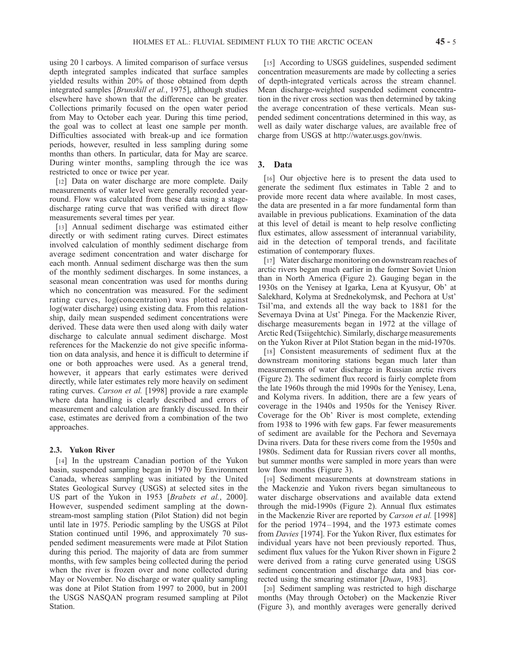using 20 l carboys. A limited comparison of surface versus depth integrated samples indicated that surface samples yielded results within 20% of those obtained from depth integrated samples [Brunskill et al., 1975], although studies elsewhere have shown that the difference can be greater. Collections primarily focused on the open water period from May to October each year. During this time period, the goal was to collect at least one sample per month. Difficulties associated with break-up and ice formation periods, however, resulted in less sampling during some months than others. In particular, data for May are scarce. During winter months, sampling through the ice was restricted to once or twice per year.

[12] Data on water discharge are more complete. Daily measurements of water level were generally recorded yearround. Flow was calculated from these data using a stagedischarge rating curve that was verified with direct flow measurements several times per year.

[13] Annual sediment discharge was estimated either directly or with sediment rating curves. Direct estimates involved calculation of monthly sediment discharge from average sediment concentration and water discharge for each month. Annual sediment discharge was then the sum of the monthly sediment discharges. In some instances, a seasonal mean concentration was used for months during which no concentration was measured. For the sediment rating curves, log(concentration) was plotted against log(water discharge) using existing data. From this relationship, daily mean suspended sediment concentrations were derived. These data were then used along with daily water discharge to calculate annual sediment discharge. Most references for the Mackenzie do not give specific information on data analysis, and hence it is difficult to determine if one or both approaches were used. As a general trend, however, it appears that early estimates were derived directly, while later estimates rely more heavily on sediment rating curves. Carson et al. [1998] provide a rare example where data handling is clearly described and errors of measurement and calculation are frankly discussed. In their case, estimates are derived from a combination of the two approaches.

#### 2.3. Yukon River

[14] In the upstream Canadian portion of the Yukon basin, suspended sampling began in 1970 by Environment Canada, whereas sampling was initiated by the United States Geological Survey (USGS) at selected sites in the US part of the Yukon in 1953 [Brabets et al., 2000]. However, suspended sediment sampling at the downstream-most sampling station (Pilot Station) did not begin until late in 1975. Periodic sampling by the USGS at Pilot Station continued until 1996, and approximately 70 suspended sediment measurements were made at Pilot Station during this period. The majority of data are from summer months, with few samples being collected during the period when the river is frozen over and none collected during May or November. No discharge or water quality sampling was done at Pilot Station from 1997 to 2000, but in 2001 the USGS NASQAN program resumed sampling at Pilot Station.

[15] According to USGS guidelines, suspended sediment concentration measurements are made by collecting a series of depth-integrated verticals across the stream channel. Mean discharge-weighted suspended sediment concentration in the river cross section was then determined by taking the average concentration of these verticals. Mean suspended sediment concentrations determined in this way, as well as daily water discharge values, are available free of charge from USGS at http://water.usgs.gov/nwis.

#### 3. Data

[16] Our objective here is to present the data used to generate the sediment flux estimates in Table 2 and to provide more recent data where available. In most cases, the data are presented in a far more fundamental form than available in previous publications. Examination of the data at this level of detail is meant to help resolve conflicting flux estimates, allow assessment of interannual variability, aid in the detection of temporal trends, and facilitate estimation of contemporary fluxes.

[17] Water discharge monitoring on downstream reaches of arctic rivers began much earlier in the former Soviet Union than in North America (Figure 2). Gauging began in the 1930s on the Yenisey at Igarka, Lena at Kyusyur, Ob' at Salekhard, Kolyma at Srednekolymsk, and Pechora at Ust' Tsil'ma, and extends all the way back to 1881 for the Severnaya Dvina at Ust' Pinega. For the Mackenzie River, discharge measurements began in 1972 at the village of Arctic Red (Tsiigehtchic). Similarly, discharge measurements on the Yukon River at Pilot Station began in the mid-1970s.

[18] Consistent measurements of sediment flux at the downstream monitoring stations began much later than measurements of water discharge in Russian arctic rivers (Figure 2). The sediment flux record is fairly complete from the late 1960s through the mid 1990s for the Yenisey, Lena, and Kolyma rivers. In addition, there are a few years of coverage in the 1940s and 1950s for the Yenisey River. Coverage for the Ob' River is most complete, extending from 1938 to 1996 with few gaps. Far fewer measurements of sediment are available for the Pechora and Severnaya Dvina rivers. Data for these rivers come from the 1950s and 1980s. Sediment data for Russian rivers cover all months, but summer months were sampled in more years than were low flow months (Figure 3).

[19] Sediment measurements at downstream stations in the Mackenzie and Yukon rivers began simultaneous to water discharge observations and available data extend through the mid-1990s (Figure 2). Annual flux estimates in the Mackenzie River are reported by *Carson et al.* [1998] for the period 1974 – 1994, and the 1973 estimate comes from Davies [1974]. For the Yukon River, flux estimates for individual years have not been previously reported. Thus, sediment flux values for the Yukon River shown in Figure 2 were derived from a rating curve generated using USGS sediment concentration and discharge data and bias corrected using the smearing estimator [*Duan*, 1983].

[20] Sediment sampling was restricted to high discharge months (May through October) on the Mackenzie River (Figure 3), and monthly averages were generally derived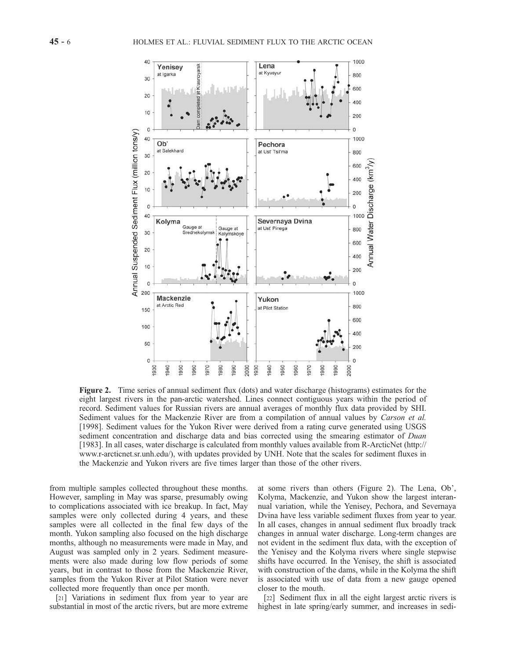

Figure 2. Time series of annual sediment flux (dots) and water discharge (histograms) estimates for the eight largest rivers in the pan-arctic watershed. Lines connect contiguous years within the period of record. Sediment values for Russian rivers are annual averages of monthly flux data provided by SHI. Sediment values for the Mackenzie River are from a compilation of annual values by Carson et al. [1998]. Sediment values for the Yukon River were derived from a rating curve generated using USGS sediment concentration and discharge data and bias corrected using the smearing estimator of *Duan* [1983]. In all cases, water discharge is calculated from monthly values available from R-ArcticNet (http:// www.r-arcticnet.sr.unh.edu/), with updates provided by UNH. Note that the scales for sediment fluxes in the Mackenzie and Yukon rivers are five times larger than those of the other rivers.

from multiple samples collected throughout these months. However, sampling in May was sparse, presumably owing to complications associated with ice breakup. In fact, May samples were only collected during 4 years, and these samples were all collected in the final few days of the month. Yukon sampling also focused on the high discharge months, although no measurements were made in May, and August was sampled only in 2 years. Sediment measurements were also made during low flow periods of some years, but in contrast to those from the Mackenzie River, samples from the Yukon River at Pilot Station were never collected more frequently than once per month.

[21] Variations in sediment flux from year to year are substantial in most of the arctic rivers, but are more extreme at some rivers than others (Figure 2). The Lena, Ob', Kolyma, Mackenzie, and Yukon show the largest interannual variation, while the Yenisey, Pechora, and Severnaya Dvina have less variable sediment fluxes from year to year. In all cases, changes in annual sediment flux broadly track changes in annual water discharge. Long-term changes are not evident in the sediment flux data, with the exception of the Yenisey and the Kolyma rivers where single stepwise shifts have occurred. In the Yenisey, the shift is associated with construction of the dams, while in the Kolyma the shift is associated with use of data from a new gauge opened closer to the mouth.

[22] Sediment flux in all the eight largest arctic rivers is highest in late spring/early summer, and increases in sedi-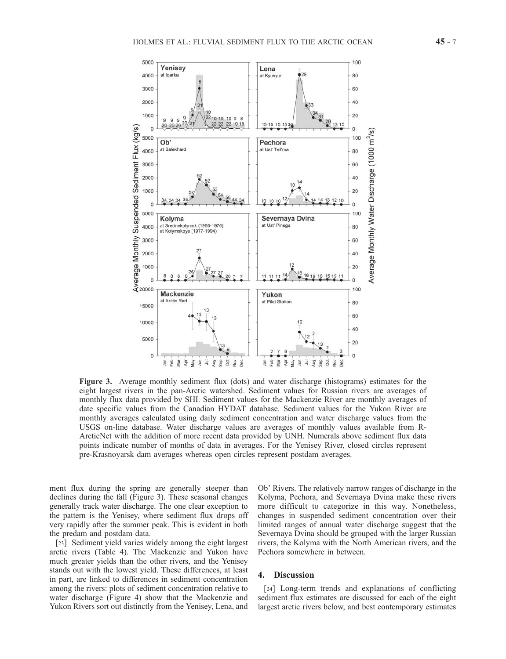

Figure 3. Average monthly sediment flux (dots) and water discharge (histograms) estimates for the eight largest rivers in the pan-Arctic watershed. Sediment values for Russian rivers are averages of monthly flux data provided by SHI. Sediment values for the Mackenzie River are monthly averages of date specific values from the Canadian HYDAT database. Sediment values for the Yukon River are monthly averages calculated using daily sediment concentration and water discharge values from the USGS on-line database. Water discharge values are averages of monthly values available from R-ArcticNet with the addition of more recent data provided by UNH. Numerals above sediment flux data points indicate number of months of data in averages. For the Yenisey River, closed circles represent pre-Krasnoyarsk dam averages whereas open circles represent postdam averages.

ment flux during the spring are generally steeper than declines during the fall (Figure 3). These seasonal changes generally track water discharge. The one clear exception to the pattern is the Yenisey, where sediment flux drops off very rapidly after the summer peak. This is evident in both the predam and postdam data.

[23] Sediment yield varies widely among the eight largest arctic rivers (Table 4). The Mackenzie and Yukon have much greater yields than the other rivers, and the Yenisey stands out with the lowest yield. These differences, at least in part, are linked to differences in sediment concentration among the rivers: plots of sediment concentration relative to water discharge (Figure 4) show that the Mackenzie and Yukon Rivers sort out distinctly from the Yenisey, Lena, and Ob' Rivers. The relatively narrow ranges of discharge in the Kolyma, Pechora, and Severnaya Dvina make these rivers more difficult to categorize in this way. Nonetheless, changes in suspended sediment concentration over their limited ranges of annual water discharge suggest that the Severnaya Dvina should be grouped with the larger Russian rivers, the Kolyma with the North American rivers, and the Pechora somewhere in between.

#### 4. Discussion

[24] Long-term trends and explanations of conflicting sediment flux estimates are discussed for each of the eight largest arctic rivers below, and best contemporary estimates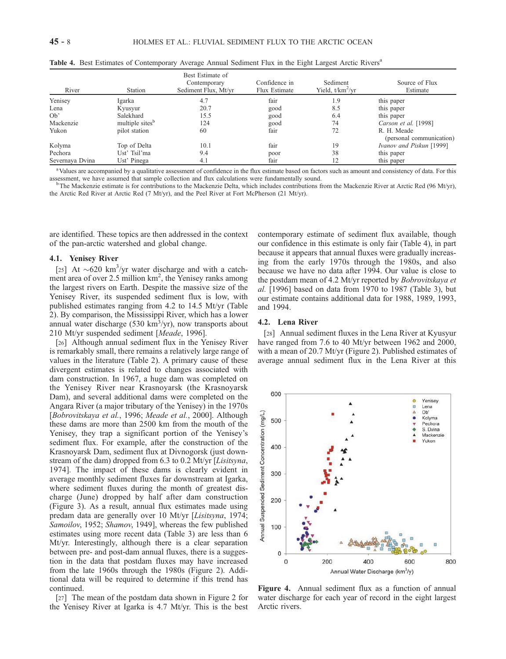| River           | Station                     | Best Estimate of<br>Contemporary<br>Sediment Flux, Mt/yr | Confidence in<br>Flux Estimate | Sediment<br>Yield, $t/km^2/yr$ | Source of Flux<br>Estimate              |
|-----------------|-----------------------------|----------------------------------------------------------|--------------------------------|--------------------------------|-----------------------------------------|
| Yenisey         | Igarka                      | 4.7                                                      | fair                           | 1.9                            | this paper                              |
| Lena            | Kyusyur                     | 20.7                                                     | good                           | 8.5                            | this paper                              |
| Ob'             | Salekhard                   | 15.5                                                     | good                           | 6.4                            | this paper                              |
| Mackenzie       | multiple sites <sup>b</sup> | 124                                                      | good                           | 74                             | Carson et al. [1998]                    |
| Yukon           | pilot station               | 60                                                       | fair                           | 72                             | R. H. Meade<br>(personal communication) |
| Kolyma          | Top of Delta                | 10.1                                                     | fair                           | 19                             | Ivanov and Piskun [1999]                |
| Pechora         | Ust' Tsil'ma                | 9.4                                                      | poor                           | 38                             | this paper                              |
| Severnaya Dvina | Ust' Pinega                 | 4.1                                                      | fair                           |                                | this paper                              |

Table 4. Best Estimates of Contemporary Average Annual Sediment Flux in the Eight Largest Arctic Rivers<sup>a</sup>

<sup>a</sup> Values are accompanied by a qualitative assessment of confidence in the flux estimate based on factors such as amount and consistency of data. For this assessment, we have assumed that sample collection and flux calculations were fundamentally sound. <sup>b</sup>

 $b$ The Mackenzie estimate is for contributions to the Mackenzie Delta, which includes contributions from the Mackenzie River at Arctic Red (96 Mt/yr), the Arctic Red River at Arctic Red (7 Mt/yr), and the Peel River at Fort McPherson (21 Mt/yr).

are identified. These topics are then addressed in the context of the pan-arctic watershed and global change.

#### 4.1. Yenisey River

[25] At  $\sim$  620 km<sup>3</sup>/yr water discharge and with a catchment area of over 2.5 million km<sup>2</sup>, the Yenisey ranks among the largest rivers on Earth. Despite the massive size of the Yenisey River, its suspended sediment flux is low, with published estimates ranging from 4.2 to 14.5 Mt/yr (Table 2). By comparison, the Mississippi River, which has a lower annual water discharge (530  $\text{km}^3/\text{yr}$ ), now transports about 210 Mt/yr suspended sediment [Meade, 1996].

[26] Although annual sediment flux in the Yenisey River is remarkably small, there remains a relatively large range of values in the literature (Table 2). A primary cause of these divergent estimates is related to changes associated with dam construction. In 1967, a huge dam was completed on the Yenisey River near Krasnoyarsk (the Krasnoyarsk Dam), and several additional dams were completed on the Angara River (a major tributary of the Yenisey) in the 1970s [Bobrovitskaya et al., 1996; Meade et al., 2000]. Although these dams are more than 2500 km from the mouth of the Yenisey, they trap a significant portion of the Yenisey's sediment flux. For example, after the construction of the Krasnoyarsk Dam, sediment flux at Divnogorsk (just downstream of the dam) dropped from 6.3 to 0.2 Mt/yr [Lisitsyna, 1974]. The impact of these dams is clearly evident in average monthly sediment fluxes far downstream at Igarka, where sediment fluxes during the month of greatest discharge (June) dropped by half after dam construction (Figure 3). As a result, annual flux estimates made using predam data are generally over 10 Mt/yr [Lisitsyna, 1974; Samoilov, 1952; Shamov, 1949], whereas the few published estimates using more recent data (Table 3) are less than 6 Mt/yr. Interestingly, although there is a clear separation between pre- and post-dam annual fluxes, there is a suggestion in the data that postdam fluxes may have increased from the late 1960s through the 1980s (Figure 2). Additional data will be required to determine if this trend has continued.

[27] The mean of the postdam data shown in Figure 2 for the Yenisey River at Igarka is 4.7 Mt/yr. This is the best

contemporary estimate of sediment flux available, though our confidence in this estimate is only fair (Table 4), in part because it appears that annual fluxes were gradually increasing from the early 1970s through the 1980s, and also because we have no data after 1994. Our value is close to the postdam mean of 4.2 Mt/yr reported by Bobrovitskaya et al. [1996] based on data from 1970 to 1987 (Table 3), but our estimate contains additional data for 1988, 1989, 1993, and 1994.

#### 4.2. Lena River

[28] Annual sediment fluxes in the Lena River at Kyusyur have ranged from 7.6 to 40 Mt/yr between 1962 and 2000, with a mean of 20.7 Mt/yr (Figure 2). Published estimates of average annual sediment flux in the Lena River at this



Figure 4. Annual sediment flux as a function of annual water discharge for each year of record in the eight largest Arctic rivers.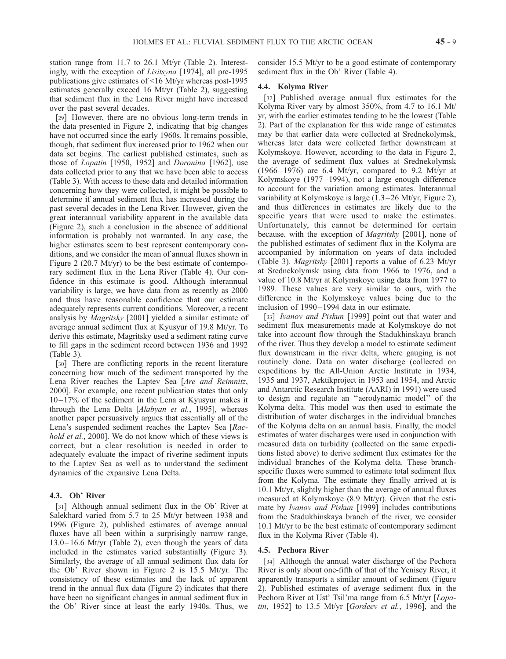station range from 11.7 to 26.1 Mt/yr (Table 2). Interestingly, with the exception of Lisitsyna [1974], all pre-1995 publications give estimates of <16 Mt/yr whereas post-1995 estimates generally exceed 16 Mt/yr (Table 2), suggesting that sediment flux in the Lena River might have increased over the past several decades.

[29] However, there are no obvious long-term trends in the data presented in Figure 2, indicating that big changes have not occurred since the early 1960s. It remains possible, though, that sediment flux increased prior to 1962 when our data set begins. The earliest published estimates, such as those of Lopatin [1950, 1952] and Doronina [1962], use data collected prior to any that we have been able to access (Table 3). With access to these data and detailed information concerning how they were collected, it might be possible to determine if annual sediment flux has increased during the past several decades in the Lena River. However, given the great interannual variability apparent in the available data (Figure 2), such a conclusion in the absence of additional information is probably not warranted. In any case, the higher estimates seem to best represent contemporary conditions, and we consider the mean of annual fluxes shown in Figure 2 (20.7 Mt/yr) to be the best estimate of contemporary sediment flux in the Lena River (Table 4). Our confidence in this estimate is good. Although interannual variability is large, we have data from as recently as 2000 and thus have reasonable confidence that our estimate adequately represents current conditions. Moreover, a recent analysis by Magritsky [2001] yielded a similar estimate of average annual sediment flux at Kyusyur of 19.8 Mt/yr. To derive this estimate, Magritsky used a sediment rating curve to fill gaps in the sediment record between 1936 and 1992 (Table 3).

[30] There are conflicting reports in the recent literature concerning how much of the sediment transported by the Lena River reaches the Laptev Sea [Are and Reimnitz, 2000]. For example, one recent publication states that only  $10 - 17\%$  of the sediment in the Lena at Kyusyur makes it through the Lena Delta [Alabyan et al., 1995], whereas another paper persuasively argues that essentially all of the Lena's suspended sediment reaches the Laptev Sea [Rachold et al., 2000]. We do not know which of these views is correct, but a clear resolution is needed in order to adequately evaluate the impact of riverine sediment inputs to the Laptev Sea as well as to understand the sediment dynamics of the expansive Lena Delta.

#### 4.3. Ob' River

[31] Although annual sediment flux in the Ob' River at Salekhard varied from 5.7 to 25 Mt/yr between 1938 and 1996 (Figure 2), published estimates of average annual fluxes have all been within a surprisingly narrow range,  $13.0 - 16.6$  Mt/yr (Table 2), even though the years of data included in the estimates varied substantially (Figure 3). Similarly, the average of all annual sediment flux data for the Ob' River shown in Figure 2 is 15.5 Mt/yr. The consistency of these estimates and the lack of apparent trend in the annual flux data (Figure 2) indicates that there have been no significant changes in annual sediment flux in the Ob' River since at least the early 1940s. Thus, we consider 15.5 Mt/yr to be a good estimate of contemporary sediment flux in the Ob' River (Table 4).

#### 4.4. Kolyma River

[32] Published average annual flux estimates for the Kolyma River vary by almost 350%, from 4.7 to 16.1 Mt/ yr, with the earlier estimates tending to be the lowest (Table 2). Part of the explanation for this wide range of estimates may be that earlier data were collected at Srednekolymsk, whereas later data were collected farther downstream at Kolymskoye. However, according to the data in Figure 2, the average of sediment flux values at Srednekolymsk  $(1966 - 1976)$  are 6.4 Mt/yr, compared to 9.2 Mt/yr at Kolymskoye (1977– 1994), not a large enough difference to account for the variation among estimates. Interannual variability at Kolymskoye is large (1.3 – 26 Mt/yr, Figure 2), and thus differences in estimates are likely due to the specific years that were used to make the estimates. Unfortunately, this cannot be determined for certain because, with the exception of Magritsky [2001], none of the published estimates of sediment flux in the Kolyma are accompanied by information on years of data included (Table 3). Magritsky [2001] reports a value of 6.23 Mt/yr at Srednekolymsk using data from 1966 to 1976, and a value of 10.8 Mt/yr at Kolymskoye using data from 1977 to 1989. These values are very similar to ours, with the difference in the Kolymskoye values being due to the inclusion of 1990– 1994 data in our estimate.

[33] *Ivanov and Piskun* [1999] point out that water and sediment flux measurements made at Kolymskoye do not take into account flow through the Stadukhinskaya branch of the river. Thus they develop a model to estimate sediment flux downstream in the river delta, where gauging is not routinely done. Data on water discharge (collected on expeditions by the All-Union Arctic Institute in 1934, 1935 and 1937, Arktikproject in 1953 and 1954, and Arctic and Antarctic Research Institute (AARI) in 1991) were used to design and regulate an ''aerodynamic model'' of the Kolyma delta. This model was then used to estimate the distribution of water discharges in the individual branches of the Kolyma delta on an annual basis. Finally, the model estimates of water discharges were used in conjunction with measured data on turbidity (collected on the same expeditions listed above) to derive sediment flux estimates for the individual branches of the Kolyma delta. These branchspecific fluxes were summed to estimate total sediment flux from the Kolyma. The estimate they finally arrived at is 10.1 Mt/yr, slightly higher than the average of annual fluxes measured at Kolymskoye (8.9 Mt/yr). Given that the estimate by Ivanov and Piskun [1999] includes contributions from the Stadukhinskaya branch of the river, we consider 10.1 Mt/yr to be the best estimate of contemporary sediment flux in the Kolyma River (Table 4).

#### 4.5. Pechora River

[34] Although the annual water discharge of the Pechora River is only about one-fifth of that of the Yenisey River, it apparently transports a similar amount of sediment (Figure 2). Published estimates of average sediment flux in the Pechora River at Ust' Tsil'ma range from 6.5 Mt/yr [Lopatin,  $1952$ ] to  $13.5$  Mt/yr [Gordeev et al., 1996], and the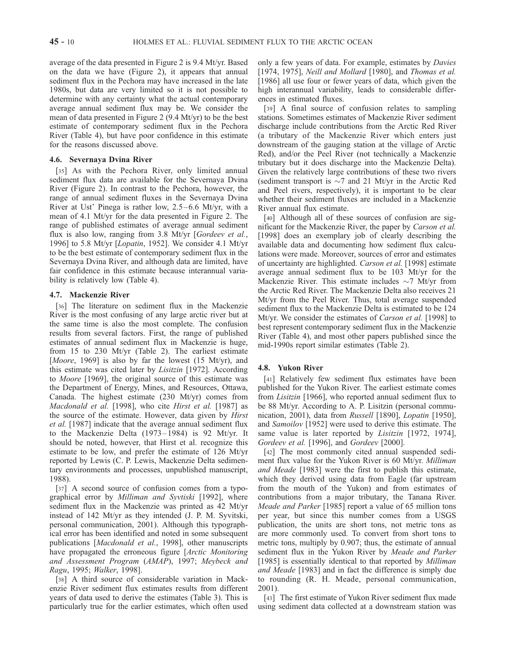average of the data presented in Figure 2 is 9.4 Mt/yr. Based on the data we have (Figure 2), it appears that annual sediment flux in the Pechora may have increased in the late 1980s, but data are very limited so it is not possible to determine with any certainty what the actual contemporary average annual sediment flux may be. We consider the mean of data presented in Figure 2 (9.4 Mt/yr) to be the best estimate of contemporary sediment flux in the Pechora River (Table 4), but have poor confidence in this estimate for the reasons discussed above.

#### 4.6. Severnaya Dvina River

[35] As with the Pechora River, only limited annual sediment flux data are available for the Severnaya Dvina River (Figure 2). In contrast to the Pechora, however, the range of annual sediment fluxes in the Severnaya Dvina River at Ust' Pinega is rather low, 2.5–6.6 Mt/yr, with a mean of 4.1 Mt/yr for the data presented in Figure 2. The range of published estimates of average annual sediment flux is also low, ranging from 3.8 Mt/yr [Gordeev et al., 1996] to 5.8 Mt/yr [Lopatin, 1952]. We consider 4.1 Mt/yr to be the best estimate of contemporary sediment flux in the Severnaya Dvina River, and although data are limited, have fair confidence in this estimate because interannual variability is relatively low (Table 4).

#### 4.7. Mackenzie River

[36] The literature on sediment flux in the Mackenzie River is the most confusing of any large arctic river but at the same time is also the most complete. The confusion results from several factors. First, the range of published estimates of annual sediment flux in Mackenzie is huge, from 15 to 230 Mt/yr (Table 2). The earliest estimate [*Moore*, 1969] is also by far the lowest (15 Mt/yr), and this estimate was cited later by Lisitzin [1972]. According to Moore [1969], the original source of this estimate was the Department of Energy, Mines, and Resources, Ottawa, Canada. The highest estimate (230 Mt/yr) comes from Macdonald et al. [1998], who cite Hirst et al. [1987] as the source of the estimate. However, data given by Hirst et al. [1987] indicate that the average annual sediment flux to the Mackenzie Delta (1973 – 1984) is 92 Mt/yr. It should be noted, however, that Hirst et al. recognize this estimate to be low, and prefer the estimate of 126 Mt/yr reported by Lewis (C. P. Lewis, Mackenzie Delta sedimentary environments and processes, unpublished manuscript, 1988).

[37] A second source of confusion comes from a typographical error by Milliman and Syvtiski [1992], where sediment flux in the Mackenzie was printed as 42 Mt/yr instead of 142 Mt/yr as they intended (J. P. M. Syvitski, personal communication, 2001). Although this typographical error has been identified and noted in some subsequent publications [Macdonald et al., 1998], other manuscripts have propagated the erroneous figure [Arctic Monitoring] and Assessment Program (AMAP), 1997; Meybeck and Ragu, 1995; Walker, 1998].

[38] A third source of considerable variation in Mackenzie River sediment flux estimates results from different years of data used to derive the estimates (Table 3). This is particularly true for the earlier estimates, which often used only a few years of data. For example, estimates by Davies [1974, 1975], *Neill and Mollard* [1980], and *Thomas et al.* [1986] all use four or fewer years of data, which given the high interannual variability, leads to considerable differences in estimated fluxes.

[39] A final source of confusion relates to sampling stations. Sometimes estimates of Mackenzie River sediment discharge include contributions from the Arctic Red River (a tributary of the Mackenzie River which enters just downstream of the gauging station at the village of Arctic Red), and/or the Peel River (not technically a Mackenzie tributary but it does discharge into the Mackenzie Delta). Given the relatively large contributions of these two rivers (sediment transport is  $\sim$ 7 and 21 Mt/yr in the Arctic Red and Peel rivers, respectively), it is important to be clear whether their sediment fluxes are included in a Mackenzie River annual flux estimate.

[40] Although all of these sources of confusion are significant for the Mackenzie River, the paper by Carson et al. [1998] does an exemplary job of clearly describing the available data and documenting how sediment flux calculations were made. Moreover, sources of error and estimates of uncertainty are highlighted. Carson et al. [1998] estimate average annual sediment flux to be 103 Mt/yr for the Mackenzie River. This estimate includes  $\sim$ 7 Mt/yr from the Arctic Red River. The Mackenzie Delta also receives 21 Mt/yr from the Peel River. Thus, total average suspended sediment flux to the Mackenzie Delta is estimated to be 124 Mt/yr. We consider the estimates of *Carson et al.* [1998] to best represent contemporary sediment flux in the Mackenzie River (Table 4), and most other papers published since the mid-1990s report similar estimates (Table 2).

#### 4.8. Yukon River

[41] Relatively few sediment flux estimates have been published for the Yukon River. The earliest estimate comes from Lisitzin [1966], who reported annual sediment flux to be 88 Mt/yr. According to A. P. Lisitzin (personal communication, 2001), data from Russell [1890], Lopatin [1950], and Samoilov [1952] were used to derive this estimate. The same value is later reported by *Lisitzin* [1972, 1974], Gordeev et al. [1996], and Gordeev [2000].

[42] The most commonly cited annual suspended sediment flux value for the Yukon River is 60 Mt/yr. Milliman and Meade [1983] were the first to publish this estimate, which they derived using data from Eagle (far upstream from the mouth of the Yukon) and from estimates of contributions from a major tributary, the Tanana River. Meade and Parker [1985] report a value of 65 million tons per year, but since this number comes from a USGS publication, the units are short tons, not metric tons as are more commonly used. To convert from short tons to metric tons, multiply by 0.907; thus, the estimate of annual sediment flux in the Yukon River by Meade and Parker [1985] is essentially identical to that reported by *Milliman* and Meade [1983] and in fact the difference is simply due to rounding (R. H. Meade, personal communication, 2001).

[43] The first estimate of Yukon River sediment flux made using sediment data collected at a downstream station was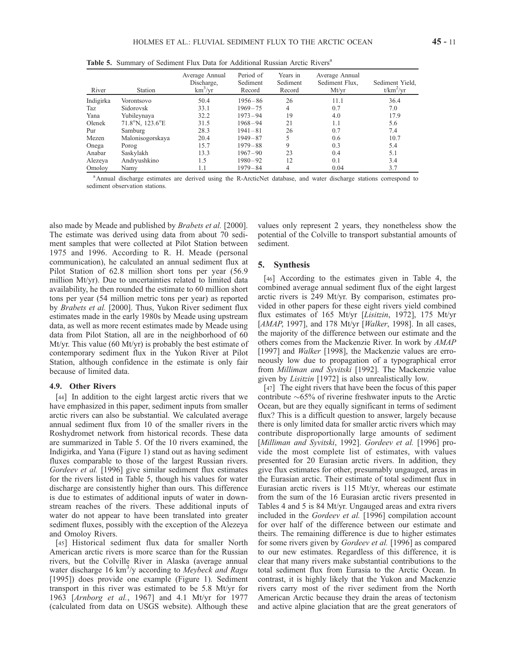Table 5. Summary of Sediment Flux Data for Additional Russian Arctic Rivers<sup>a</sup>

| River     | Station                             | Average Annual<br>Discharge,<br>$km^3/yr$ | Period of<br>Sediment<br>Record | Years in<br>Sediment<br>Record | Average Annual<br>Sediment Flux,<br>Mt/yr | Sediment Yield,<br>$t/km^2/yr$ |
|-----------|-------------------------------------|-------------------------------------------|---------------------------------|--------------------------------|-------------------------------------------|--------------------------------|
| Indigirka | Vorontsovo                          | 50.4                                      | $1956 - 86$                     | 26                             | 11.1                                      | 36.4                           |
| Taz       | Sidorovsk                           | 33.1                                      | $1969 - 75$                     | 4                              | 0.7                                       | 7.0                            |
| Yana      | Yubileynaya                         | 32.2                                      | $1973 - 94$                     | 19                             | 4.0                                       | 17.9                           |
| Olenek    | $71.8^{\circ}$ N, $123.6^{\circ}$ E | 31.5                                      | $1968 - 94$                     | 21                             | 1.1                                       | 5.6                            |
| Pur       | Samburg                             | 28.3                                      | $1941 - 81$                     | 26                             | 0.7                                       | 7.4                            |
| Mezen     | Malonisogorskaya                    | 20.4                                      | $1949 - 87$                     | 5                              | 0.6                                       | 10.7                           |
| Onega     | Porog                               | 15.7                                      | $1979 - 88$                     | 9                              | 0.3                                       | 5.4                            |
| Anabar    | Saskylakh                           | 13.3                                      | $1967 - 90$                     | 23                             | 0.4                                       | 5.1                            |
| Alezeya   | Andryushkino                        | 1.5                                       | $1980 - 92$                     | 12                             | 0.1                                       | 3.4                            |
| Omolov    | Namy                                | 1.1                                       | $1979 - 84$                     | 4                              | 0.04                                      | 3.7                            |

<sup>a</sup> Annual discharge estimates are derived using the R-ArcticNet database, and water discharge stations correspond to sediment observation stations.

also made by Meade and published by Brabets et al. [2000]. The estimate was derived using data from about 70 sediment samples that were collected at Pilot Station between 1975 and 1996. According to R. H. Meade (personal communication), he calculated an annual sediment flux at Pilot Station of 62.8 million short tons per year (56.9 million Mt/yr). Due to uncertainties related to limited data availability, he then rounded the estimate to 60 million short tons per year (54 million metric tons per year) as reported by Brabets et al. [2000]. Thus, Yukon River sediment flux estimates made in the early 1980s by Meade using upstream data, as well as more recent estimates made by Meade using data from Pilot Station, all are in the neighborhood of 60 Mt/yr. This value (60 Mt/yr) is probably the best estimate of contemporary sediment flux in the Yukon River at Pilot Station, although confidence in the estimate is only fair because of limited data.

#### 4.9. Other Rivers

[44] In addition to the eight largest arctic rivers that we have emphasized in this paper, sediment inputs from smaller arctic rivers can also be substantial. We calculated average annual sediment flux from 10 of the smaller rivers in the Roshydromet network from historical records. These data are summarized in Table 5. Of the 10 rivers examined, the Indigirka, and Yana (Figure 1) stand out as having sediment fluxes comparable to those of the largest Russian rivers. Gordeev et al. [1996] give similar sediment flux estimates for the rivers listed in Table 5, though his values for water discharge are consistently higher than ours. This difference is due to estimates of additional inputs of water in downstream reaches of the rivers. These additional inputs of water do not appear to have been translated into greater sediment fluxes, possibly with the exception of the Alezeya and Omoloy Rivers.

[45] Historical sediment flux data for smaller North American arctic rivers is more scarce than for the Russian rivers, but the Colville River in Alaska (average annual water discharge 16 km<sup>3</sup>/y according to Meybeck and Ragu [1995]) does provide one example (Figure 1). Sediment transport in this river was estimated to be 5.8 Mt/yr for 1963 [Arnborg et al., 1967] and 4.1 Mt/yr for 1977 (calculated from data on USGS website). Although these

values only represent 2 years, they nonetheless show the potential of the Colville to transport substantial amounts of sediment.

#### 5. Synthesis

[46] According to the estimates given in Table 4, the combined average annual sediment flux of the eight largest arctic rivers is 249 Mt/yr. By comparison, estimates provided in other papers for these eight rivers yield combined flux estimates of 165 Mt/yr [Lisitzin, 1972], 175 Mt/yr [AMAP, 1997], and 178 Mt/yr [Walker, 1998]. In all cases, the majority of the difference between our estimate and the others comes from the Mackenzie River. In work by AMAP [1997] and *Walker* [1998], the Mackenzie values are erroneously low due to propagation of a typographical error from Milliman and Syvitski [1992]. The Mackenzie value given by Lisitzin [1972] is also unrealistically low.

[47] The eight rivers that have been the focus of this paper contribute  $\sim 65\%$  of riverine freshwater inputs to the Arctic Ocean, but are they equally significant in terms of sediment flux? This is a difficult question to answer, largely because there is only limited data for smaller arctic rivers which may contribute disproportionally large amounts of sediment [Milliman and Syvitski, 1992]. Gordeev et al. [1996] provide the most complete list of estimates, with values presented for 20 Eurasian arctic rivers. In addition, they give flux estimates for other, presumably ungauged, areas in the Eurasian arctic. Their estimate of total sediment flux in Eurasian arctic rivers is 115 Mt/yr, whereas our estimate from the sum of the 16 Eurasian arctic rivers presented in Tables 4 and 5 is 84 Mt/yr. Ungauged areas and extra rivers included in the Gordeev et al. [1996] compilation account for over half of the difference between our estimate and theirs. The remaining difference is due to higher estimates for some rivers given by Gordeev et al. [1996] as compared to our new estimates. Regardless of this difference, it is clear that many rivers make substantial contributions to the total sediment flux from Eurasia to the Arctic Ocean. In contrast, it is highly likely that the Yukon and Mackenzie rivers carry most of the river sediment from the North American Arctic because they drain the areas of tectonism and active alpine glaciation that are the great generators of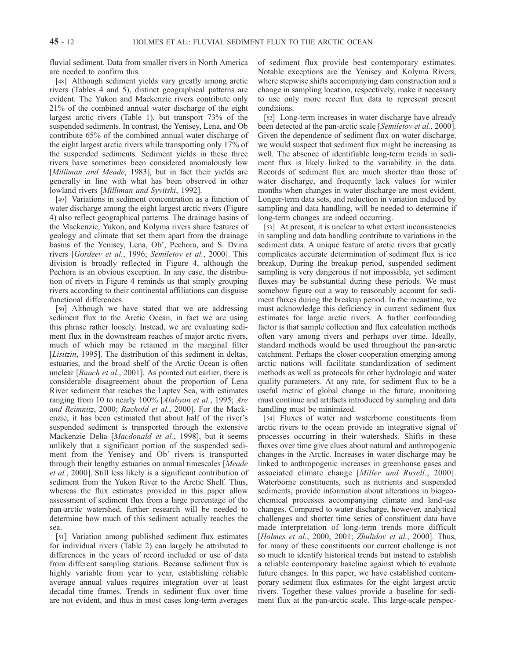fluvial sediment. Data from smaller rivers in North America are needed to confirm this.

[48] Although sediment yields vary greatly among arctic rivers (Tables 4 and 5), distinct geographical patterns are evident. The Yukon and Mackenzie rivers contribute only 21% of the combined annual water discharge of the eight largest arctic rivers (Table 1), but transport 73% of the suspended sediments. In contrast, the Yenisey, Lena, and Ob contribute 65% of the combined annual water discharge of the eight largest arctic rivers while transporting only 17% of the suspended sediments. Sediment yields in these three rivers have sometimes been considered anomalously low [Milliman and Meade, 1983], but in fact their yields are generally in line with what has been observed in other lowland rivers [Milliman and Syvitski, 1992].

[49] Variations in sediment concentration as a function of water discharge among the eight largest arctic rivers (Figure 4) also reflect geographical patterns. The drainage basins of the Mackenzie, Yukon, and Kolyma rivers share features of geology and climate that set them apart from the drainage basins of the Yenisey, Lena, Ob', Pechora, and S. Dvina rivers [Gordeev et al., 1996; Semiletov et al., 2000]. This division is broadly reflected in Figure 4, although the Pechora is an obvious exception. In any case, the distribution of rivers in Figure 4 reminds us that simply grouping rivers according to their continental affiliations can disguise functional differences.

[50] Although we have stated that we are addressing sediment flux to the Arctic Ocean, in fact we are using this phrase rather loosely. Instead, we are evaluating sediment flux in the downstream reaches of major arctic rivers, much of which may be retained in the marginal filter [Lisitzin, 1995]. The distribution of this sediment in deltas, estuaries, and the broad shelf of the Arctic Ocean is often unclear [*Bauch et al.*, 2001]. As pointed out earlier, there is considerable disagreement about the proportion of Lena River sediment that reaches the Laptev Sea, with estimates ranging from 10 to nearly 100% [Alabyan et al., 1995; Are and Reimnitz, 2000; Rachold et al., 2000]. For the Mackenzie, it has been estimated that about half of the river's suspended sediment is transported through the extensive Mackenzie Delta [Macdonald et al., 1998], but it seems unlikely that a significant portion of the suspended sediment from the Yenisey and Ob' rivers is transported through their lengthy estuaries on annual timescales [Meade et al., 2000]. Still less likely is a significant contribution of sediment from the Yukon River to the Arctic Shelf. Thus, whereas the flux estimates provided in this paper allow assessment of sediment flux from a large percentage of the pan-arctic watershed, further research will be needed to determine how much of this sediment actually reaches the sea.

[51] Variation among published sediment flux estimates for individual rivers (Table 2) can largely be attributed to differences in the years of record included or use of data from different sampling stations. Because sediment flux is highly variable from year to year, establishing reliable average annual values requires integration over at least decadal time frames. Trends in sediment flux over time are not evident, and thus in most cases long-term averages of sediment flux provide best contemporary estimates. Notable exceptions are the Yenisey and Kolyma Rivers, where stepwise shifts accompanying dam construction and a change in sampling location, respectively, make it necessary to use only more recent flux data to represent present conditions.

[52] Long-term increases in water discharge have already been detected at the pan-arctic scale [Semiletov et al., 2000]. Given the dependence of sediment flux on water discharge, we would suspect that sediment flux might be increasing as well. The absence of identifiable long-term trends in sediment flux is likely linked to the variability in the data. Records of sediment flux are much shorter than those of water discharge, and frequently lack values for winter months when changes in water discharge are most evident. Longer-term data sets, and reduction in variation induced by sampling and data handling, will be needed to determine if long-term changes are indeed occurring.

[53] At present, it is unclear to what extent inconsistencies in sampling and data handling contribute to variations in the sediment data. A unique feature of arctic rivers that greatly complicates accurate determination of sediment flux is ice breakup. During the breakup period, suspended sediment sampling is very dangerous if not impossible, yet sediment fluxes may be substantial during these periods. We must somehow figure out a way to reasonably account for sediment fluxes during the breakup period. In the meantime, we must acknowledge this deficiency in current sediment flux estimates for large arctic rivers. A further confounding factor is that sample collection and flux calculation methods often vary among rivers and perhaps over time. Ideally, standard methods would be used throughout the pan-arctic catchment. Perhaps the closer cooperation emerging among arctic nations will facilitate standardization of sediment methods as well as protocols for other hydrologic and water quality parameters. At any rate, for sediment flux to be a useful metric of global change in the future, monitoring must continue and artifacts introduced by sampling and data handling must be minimized.

[54] Fluxes of water and waterborne constituents from arctic rivers to the ocean provide an integrative signal of processes occurring in their watersheds. Shifts in these fluxes over time give clues about natural and anthropogenic changes in the Arctic. Increases in water discharge may be linked to anthropogenic increases in greenhouse gases and associated climate change [Miller and Rusell., 2000]. Waterborne constituents, such as nutrients and suspended sediments, provide information about alterations in biogeochemical processes accompanying climate and land-use changes. Compared to water discharge, however, analytical challenges and shorter time series of constituent data have made interpretation of long-term trends more difficult [Holmes et al., 2000, 2001; Zhulidov et al., 2000]. Thus, for many of these constituents our current challenge is not so much to identify historical trends but instead to establish a reliable contemporary baseline against which to evaluate future changes. In this paper, we have established contemporary sediment flux estimates for the eight largest arctic rivers. Together these values provide a baseline for sediment flux at the pan-arctic scale. This large-scale perspec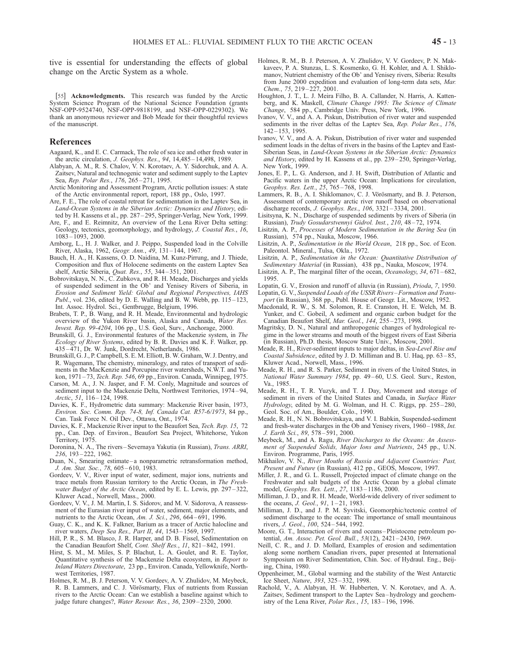tive is essential for understanding the effects of global change on the Arctic System as a whole.

[55] **Acknowledgments.** This research was funded by the Arctic System Science Program of the National Science Foundation (grants NSF-OPP-9524740, NSF-OPP-9818199, and NSF-OPP-0229302). We thank an anonymous reviewer and Bob Meade for their thoughtful reviews of the manuscript.

#### References

- Aagaard, K., and E. C. Carmack, The role of sea ice and other fresh water in the arctic circulation, J. Geophys. Res., 94, 14,485 – 14,498, 1989.
- Alabyan, A. M., R. S. Chalov, V. N. Korotaev, A. Y. Sidorchuk, and A. A. Zaitsev, Natural and technogenic water and sediment supply to the Laptev Sea, Rep. Polar Res., 176, 265-271, 1995.
- Arctic Monitoring and Assessment Program, Arctic pollution issues: A state of the Arctic environmental report, report, 188 pp., Oslo, 1997.
- Are, F. E., The role of coastal retreat for sedimentation in the Laptev Sea, in Land-Ocean Systems in the Siberian Arctic: Dynamics and History, edited by H. Kassens et al., pp. 287 – 295, Springer-Verlag, New York, 1999.
- Are, F., and E. Reimnitz, An overview of the Lena River Delta setting: Geology, tectonics, geomorphology, and hydrology, J. Coastal Res., 16, 1083 – 1093, 2000.
- Arnborg, L., H. J. Walker, and J. Peippo, Suspended load in the Colville River, Alaska, 1962, Geogr. Ann., 49, 131–144, 1967.
- Bauch, H. A., H. Kassens, O. D. Naidina, M. Kunz-Pirrung, and J. Thiede, Composition and flux of Holocene sediments on the eastern Laptev Sea shelf, Arctic Siberia, Quat. Res., 55, 344 – 351, 2001.
- Bobrovitskaya, N. N., C. Zubkova, and R. H. Meade, Discharges and yields of suspended sediment in the Ob' and Yenisey Rivers of Siberia, in Erosion and Sediment Yield: Global and Regional Perspectives, IAHS Publ., vol. 236, edited by D. E. Walling and B. W. Webb, pp.  $115-123$ , Int. Assoc. Hydrol. Sci., Gentbrugge, Belgium, 1996.
- Brabets, T. P., B. Wang, and R. H. Meade, Environmental and hydrologic overview of the Yukon River basin, Alaska and Canada, Water Res. Invest. Rep. 99-4204, 106 pp., U.S. Geol, Surv., Anchorage, 2000.
- Brunskill, G. J., Environmental features of the Mackenzie system, in The Ecology of River Systems, edited by B. R. Davies and K. F. Walker, pp. 435 – 471, Dr. W. Junk, Dordrecht, Netherlands, 1986.
- Brunskill, G. J., P. Campbell, S. E. M. Elliott, B. W. Graham, W. J. Dentry, and R. Wagemann, The chemistry, mineralogy, and rates of transport of sediments in the MacKenzie and Porcupine river watersheds, N.W.T. and Yukon, 1971 – 73, Tech. Rep. 546, 69 pp., Environ. Canada, Winnipeg, 1975.
- Carson, M. A., J. N. Jasper, and F. M. Conly, Magnitude and sources of sediment input to the Mackenzie Delta, Northwest Territories, 1974 – 94, Arctic, 51, 116-124, 1998.
- Davies, K. F., Hydrometric data summary: Mackenzie River basin, 1973, Environ. Soc. Comm. Rep. 74-8, Inf. Canada Cat. R57-6/1973, 84 pp., Can. Task Force N. Oil Dev., Ottawa, Ont., 1974.
- Davies, K. F., Mackenzie River input to the Beaufort Sea, Tech. Rep. 15, 72 pp., Can. Dep. of Environ., Beaufort Sea Project, Whitehorse, Yukon Territory, 1975.
- Doronina, N. A., The rivers Severnaya Yakutia (in Russian), Trans. ARRI, 236, 193 – 222, 1962.
- Duan, N., Smearing estimate a nonparametric retransformation method, J. Am. Stat. Soc., 78, 605 – 610, 1983.
- Gordeev, V. V., River input of water, sediment, major ions, nutrients and trace metals from Russian territory to the Arctic Ocean, in The Freshwater Budget of the Arctic Ocean, edited by E. L. Lewis, pp. 297-322, Kluwer Acad., Norwell, Mass., 2000.
- Gordeev, V. V., J. M. Martin, I. S. Sidorov, and M. V. Sidorova, A reassessment of the Eurasian river input of water, sediment, major elements, and nutrients to the Arctic Ocean, Am. J. Sci., 296, 664 – 691, 1996.
- Guay, C. K., and K. K. Falkner, Barium as a tracer of Arctic halocline and river waters, Deep Sea Res., Part II, 44, 1543 – 1569, 1997.
- Hill, P. R., S. M. Blasco, J. R. Harper, and D. B. Fissel, Sedimentation on the Canadian Beaufort Shelf, Cont. Shelf Res., 11, 821-842, 1991.
- Hirst, S. M., M. Miles, S. P. Blachut, L. A. Goulet, and R. E. Taylor, Quantitative synthesis of the Mackenzie Delta ecosystem, in Report to Inland Waters Directorate, 23 pp., Environ. Canada, Yellowknife, Northwest Territories, 1987.
- Holmes, R. M., B. J. Peterson, V. V. Gordeev, A. V. Zhulidov, M. Meybeck, R. B. Lammers, and C. J. Vörösmarty, Flux of nutrients from Russian rivers to the Arctic Ocean: Can we establish a baseline against which to judge future changes?, Water Resour. Res., 36, 2309 – 2320, 2000.
- Holmes, R. M., B. J. Peterson, A. V. Zhulidov, V. V. Gordeev, P. N. Makkaveev, P. A. Stunzas, L. S. Kosmenko, G. H. Kohler, and A. I. Shiklomanov, Nutrient chemistry of the Ob' and Yenisey rivers, Siberia: Results from June 2000 expedition and evaluation of long-term data sets, Mar. Chem., 75, 219-227, 2001.
- Houghton, J. T., L. J. Meira Filho, B. A. Callander, N. Harris, A. Kattenberg, and K. Maskell, Climate Change 1995: The Science of Climate Change, 584 pp., Cambridge Univ. Press, New York, 1996.
- Ivanov, V. V., and A. A. Piskun, Distribution of river water and suspended sediments in the river deltas of the Laptev Sea, Rep. Polar Res., 176, 142 – 153, 1995.
- Ivanov, V. V., and A. A. Piskun, Distribution of river water and suspended sediment loads in the deltas of rivers in the basins of the Laptev and East-Siberian Seas, in Land-Ocean Systems in the Siberian Arctic: Dynamics and History, edited by H. Kassens et al., pp. 239 – 250, Springer-Verlag, New York, 1999.
- Jones, E. P., L. G. Anderson, and J. H. Swift, Distribution of Atlantic and Pacific waters in the upper Arctic Ocean: Implications for circulation, Geophys. Res. Lett., 25, 765 – 768, 1998.
- Lammers, R. B., A. I. Shiklomanov, C. J. Vörösmarty, and B. J. Peterson, Assessment of contemporary arctic river runoff based on observational discharge records, J. Geophys. Res., 106, 3321 – 3334, 2001.
- Lisitsyna, K. N., Discharge of suspended sediments by rivers of Siberia (in Russian), Trudy Gosudarstvennyi Gidrol. Inst., 210, 48 – 72, 1974.
- Lisitzin, A. P., Processes of Modern Sedimentation in the Bering Sea (in Russian), 574 pp., Nauka, Moscow, 1966.
- Lisitzin, A. P., Sedimentation in the World Ocean, 218 pp., Soc. of Econ. Paleontol. Mineral., Tulsa, Okla., 1972.
- Lisitzin, A. P., Sedimentation in the Ocean: Quantitative Distribution of Sedimentary Material (in Russian), 438 pp., Nauka, Moscow, 1974.
- Lisitzin, A. P., The marginal filter of the ocean, Oceanology, 34, 671–682, 1995.
- Lopatin, G. V., Erosion and runoff of alluvia (in Russian), Prioda, 7, 1950. Lopatin, G. V., Suspended Loads of the USSR Rivers –Formation and Trans-
- port (in Russian), 368 pp., Publ. House of Geogr. Lit., Moscow, 1952.
- Macdonald, R. W., S. M. Solomon, R. E. Cranston, H. E. Welch, M. B. Yunker, and C. Gobeil, A sediment and organic carbon budget for the Canadian Beaufort Shelf, Mar. Geol., 144, 255 – 273, 1998.
- Magritsky, D. N., Natural and anthropogenic changes of hydrological regime in the lower streams and mouth of the biggest rivers of East Siberia (in Russian), Ph.D. thesis, Moscow State Univ., Moscow, 2001.
- Meade, R. H., River-sediment inputs to major deltas, in Sea-Level Rise and Coastal Subsidence, edited by J. D. Milliman and B. U. Haq, pp. 63 – 85, Kluwer Acad., Norwell, Mass., 1996.
- Meade, R. H., and R. S. Parker, Sediment in rivers of the United States, in National Water Summary 1984, pp. 49-60, U.S. Geol. Surv., Reston, Va., 1985.
- Meade, R. H., T. R. Yuzyk, and T. J. Day, Movement and storage of sediment in rivers of the United States and Canada, in Surface Water Hydrology, edited by M. G. Wolman, and H. C. Riggs, pp. 255-280, Geol. Soc. of Am., Boulder, Colo., 1990.
- Meade, R. H., N. N. Bobrovitskaya, and V. I. Babkin, Suspended-sediment and fresh-water discharges in the Ob and Yenisey rivers, 1960 – 1988, Int. J. Earth Sci., 89, 578 – 591, 2000.
- Meybeck, M., and A. Ragu, River Discharges to the Oceans: An Assessment of Suspended Solids, Major Ions and Nutrients, 245 pp., U.N. Environ. Programme, Paris, 1995.
- Mikhailov, V. N., River Mouths of Russia and Adjacent Countries: Past, Present and Future (in Russian), 412 pp., GEOS, Moscow, 1997.
- Miller, J. R., and G. L. Russell, Projected impact of climate change on the Freshwater and salt budgets of the Arctic Ocean by a global climate model, Geophys. Res. Lett., 27, 1183 – 1186, 2000.
- Milliman, J. D., and R. H. Meade, World-wide delivery of river sediment to the oceans, *J. Geol.*,  $91, 1 - 21, 1983$ .
- Milliman, J. D., and J. P. M. Syvitski, Geomorphic/tectonic control of sediment discharge to the ocean: The importance of small mountainous rivers, J. Geol., 100, 524 – 544, 1992.
- Moore, G. T., Interaction of rivers and oceans Pleistocene petroleum potential, Am. Assoc. Pet. Geol. Bull., 53(12), 2421 – 2430, 1969.
- Neill, C. R., and J. D. Mollard, Examples of erosion and sedimentation along some northern Canadian rivers, paper presented at International Symposium on River Sedimentation, Chin. Soc. of Hydraul. Eng., Beijing, China, 1980.
- Oppenheimer, M., Global warming and the stability of the West Antarctic Ice Sheet, Nature, 393, 325 – 332, 1998.
- Rachold, V., A. Alabyan, H. W. Hubberten, V. N. Korotaev, and A. A. Zaitsev, Sediment transport to the Laptev Sea – hydrology and geochemistry of the Lena River, *Polar Res.*, 15, 183-196, 1996.